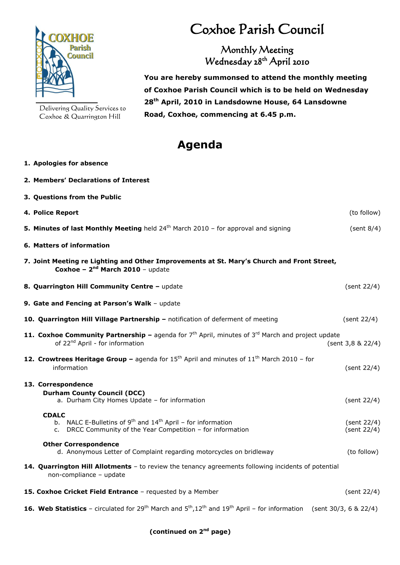

**1. Apologies for absence**

Delivering Quality Services to Coxhoe & Quarrington Hill

## Coxhoe Parish Council

Monthly Meeting Wednesday 28<sup>th</sup> April 2010

 **You are hereby summonsed to attend the monthly meeting of Coxhoe Parish Council which is to be held on Wednesday 28 th April, 2010 in Landsdowne House, 64 Lansdowne Road, Coxhoe, commencing at 6.45 p.m.**

## **Agenda**

| 2. Members' Declarations of Interest                                                                                                                                    |                            |
|-------------------------------------------------------------------------------------------------------------------------------------------------------------------------|----------------------------|
| 3. Questions from the Public                                                                                                                                            |                            |
| 4. Police Report                                                                                                                                                        | (to follow)                |
| 5. Minutes of last Monthly Meeting held 24 <sup>th</sup> March 2010 - for approval and signing                                                                          | (sent 8/4)                 |
| 6. Matters of information                                                                                                                                               |                            |
| 7. Joint Meeting re Lighting and Other Improvements at St. Mary's Church and Front Street,<br>Coxhoe - $2nd$ March 2010 - update                                        |                            |
| 8. Quarrington Hill Community Centre - update                                                                                                                           | (sent 22/4)                |
| 9. Gate and Fencing at Parson's Walk - update                                                                                                                           |                            |
| 10. Quarrington Hill Village Partnership - notification of deferment of meeting                                                                                         | (sent 22/4)                |
| 11. Coxhoe Community Partnership - agenda for 7 <sup>th</sup> April, minutes of 3 <sup>rd</sup> March and project update<br>of 22 <sup>nd</sup> April - for information | (sent 3,8 & 22/4)          |
| 12. Crowtrees Heritage Group - agenda for $15th$ April and minutes of $11th$ March 2010 - for<br>information                                                            | (sent 22/4)                |
| 13. Correspondence                                                                                                                                                      |                            |
| <b>Durham County Council (DCC)</b><br>a. Durham City Homes Update - for information                                                                                     | (sent 22/4)                |
| <b>CDALC</b><br>b. NALC E-Bulletins of $9th$ and $14th$ April – for information<br>c. DRCC Community of the Year Competition - for information                          | (sent 22/4)<br>(sent 22/4) |
| <b>Other Correspondence</b><br>d. Anonymous Letter of Complaint regarding motorcycles on bridleway                                                                      | (to follow)                |
| 14. Quarrington Hill Allotments - to review the tenancy agreements following incidents of potential<br>non-compliance - update                                          |                            |
| 15. Coxhoe Cricket Field Entrance - requested by a Member                                                                                                               | (sent 22/4)                |
| <b>16. Web Statistics</b> – circulated for 29 <sup>th</sup> March and $5^{th}$ , $12^{th}$ and $19^{th}$ April – for information (sent 30/3, 6 & 22/4)                  |                            |